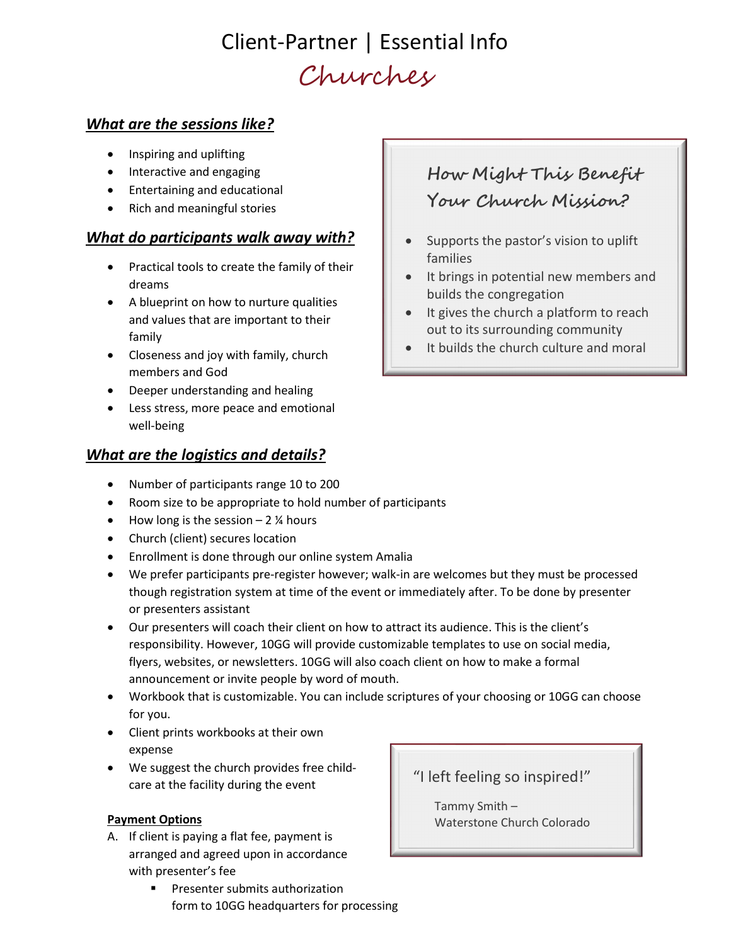## Client-Partner | Essential Info Churches

#### What are the sessions like?

- Inspiring and uplifting
- Interactive and engaging
- Entertaining and educational
- Rich and meaningful stories

#### What do participants walk away with?

- Practical tools to create the family of their dreams
- A blueprint on how to nurture qualities and values that are important to their family
- Closeness and joy with family, church members and God
- Deeper understanding and healing
- Less stress, more peace and emotional well-being

#### What are the logistics and details?

- Number of participants range 10 to 200
- Room size to be appropriate to hold number of participants
- $\bullet$  How long is the session 2 % hours
- Church (client) secures location
- Enrollment is done through our online system Amalia
- We prefer participants pre-register however; walk-in are welcomes but they must be processed though registration system at time of the event or immediately after. To be done by presenter or presenters assistant
- Our presenters will coach their client on how to attract its audience. This is the client's responsibility. However, 10GG will provide customizable templates to use on social media, flyers, websites, or newsletters. 10GG will also coach client on how to make a formal announcement or invite people by word of mouth.
- Workbook that is customizable. You can include scriptures of your choosing or 10GG can choose for you.
- Client prints workbooks at their own expense
- We suggest the church provides free childcare at the facility during the event

#### Payment Options

- A. If client is paying a flat fee, payment is arranged and agreed upon in accordance with presenter's fee
	- **Presenter submits authorization** form to 10GG headquarters for processing

### How Might This Benefit Your Church Mission?

- Supports the pastor's vision to uplift families
- It brings in potential new members and builds the congregation
- It gives the church a platform to reach out to its surrounding community
- It builds the church culture and moral

#### "I left feeling so inspired!"

Tammy Smith – Waterstone Church Colorado